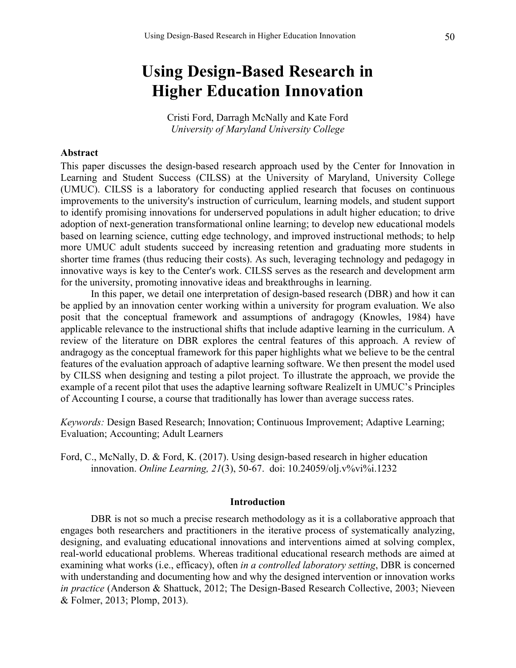# **Using Design-Based Research in Higher Education Innovation**

Cristi Ford, Darragh McNally and Kate Ford *University of Maryland University College*

## **Abstract**

This paper discusses the design-based research approach used by the Center for Innovation in Learning and Student Success (CILSS) at the University of Maryland, University College (UMUC). CILSS is a laboratory for conducting applied research that focuses on continuous improvements to the university's instruction of curriculum, learning models, and student support to identify promising innovations for underserved populations in adult higher education; to drive adoption of next-generation transformational online learning; to develop new educational models based on learning science, cutting edge technology, and improved instructional methods; to help more UMUC adult students succeed by increasing retention and graduating more students in shorter time frames (thus reducing their costs). As such, leveraging technology and pedagogy in innovative ways is key to the Center's work. CILSS serves as the research and development arm for the university, promoting innovative ideas and breakthroughs in learning.

In this paper, we detail one interpretation of design-based research (DBR) and how it can be applied by an innovation center working within a university for program evaluation. We also posit that the conceptual framework and assumptions of andragogy (Knowles, 1984) have applicable relevance to the instructional shifts that include adaptive learning in the curriculum. A review of the literature on DBR explores the central features of this approach. A review of andragogy as the conceptual framework for this paper highlights what we believe to be the central features of the evaluation approach of adaptive learning software. We then present the model used by CILSS when designing and testing a pilot project. To illustrate the approach, we provide the example of a recent pilot that uses the adaptive learning software RealizeIt in UMUC's Principles of Accounting I course, a course that traditionally has lower than average success rates.

*Keywords:* Design Based Research; Innovation; Continuous Improvement; Adaptive Learning; Evaluation; Accounting; Adult Learners

Ford, C., McNally, D. & Ford, K. (2017). Using design-based research in higher education innovation. *Online Learning, 21*(3), 50-67. doi: 10.24059/olj.v%vi%i.1232

#### **Introduction**

DBR is not so much a precise research methodology as it is a collaborative approach that engages both researchers and practitioners in the iterative process of systematically analyzing, designing, and evaluating educational innovations and interventions aimed at solving complex, real-world educational problems. Whereas traditional educational research methods are aimed at examining what works (i.e., efficacy), often *in a controlled laboratory setting*, DBR is concerned with understanding and documenting how and why the designed intervention or innovation works *in practice* (Anderson & Shattuck, 2012; The Design-Based Research Collective, 2003; Nieveen & Folmer, 2013; Plomp, 2013).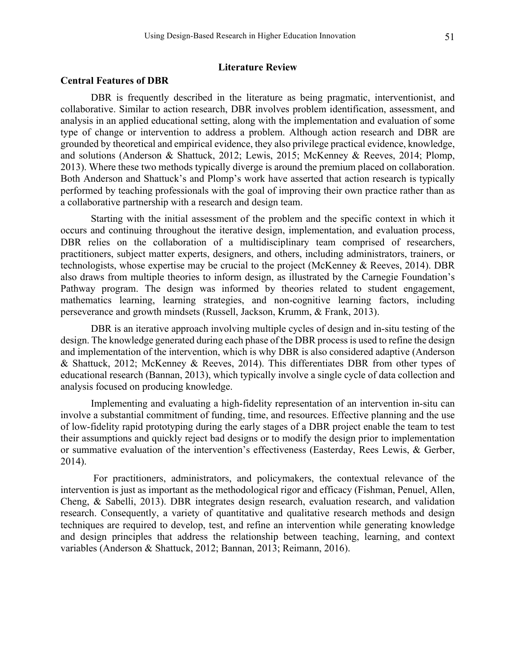## **Literature Review**

# **Central Features of DBR**

DBR is frequently described in the literature as being pragmatic, interventionist, and collaborative. Similar to action research, DBR involves problem identification, assessment, and analysis in an applied educational setting, along with the implementation and evaluation of some type of change or intervention to address a problem. Although action research and DBR are grounded by theoretical and empirical evidence, they also privilege practical evidence, knowledge, and solutions (Anderson & Shattuck, 2012; Lewis, 2015; McKenney & Reeves, 2014; Plomp, 2013). Where these two methods typically diverge is around the premium placed on collaboration. Both Anderson and Shattuck's and Plomp's work have asserted that action research is typically performed by teaching professionals with the goal of improving their own practice rather than as a collaborative partnership with a research and design team.

Starting with the initial assessment of the problem and the specific context in which it occurs and continuing throughout the iterative design, implementation, and evaluation process, DBR relies on the collaboration of a multidisciplinary team comprised of researchers, practitioners, subject matter experts, designers, and others, including administrators, trainers, or technologists, whose expertise may be crucial to the project (McKenney & Reeves, 2014). DBR also draws from multiple theories to inform design, as illustrated by the Carnegie Foundation's Pathway program. The design was informed by theories related to student engagement, mathematics learning, learning strategies, and non-cognitive learning factors, including perseverance and growth mindsets (Russell, Jackson, Krumm, & Frank, 2013).

DBR is an iterative approach involving multiple cycles of design and in-situ testing of the design. The knowledge generated during each phase of the DBR process is used to refine the design and implementation of the intervention, which is why DBR is also considered adaptive (Anderson & Shattuck, 2012; McKenney & Reeves, 2014). This differentiates DBR from other types of educational research (Bannan, 2013), which typically involve a single cycle of data collection and analysis focused on producing knowledge.

Implementing and evaluating a high-fidelity representation of an intervention in-situ can involve a substantial commitment of funding, time, and resources. Effective planning and the use of low-fidelity rapid prototyping during the early stages of a DBR project enable the team to test their assumptions and quickly reject bad designs or to modify the design prior to implementation or summative evaluation of the intervention's effectiveness (Easterday, Rees Lewis, & Gerber, 2014).

For practitioners, administrators, and policymakers, the contextual relevance of the intervention is just as important as the methodological rigor and efficacy (Fishman, Penuel, Allen, Cheng, & Sabelli, 2013). DBR integrates design research, evaluation research, and validation research. Consequently, a variety of quantitative and qualitative research methods and design techniques are required to develop, test, and refine an intervention while generating knowledge and design principles that address the relationship between teaching, learning, and context variables (Anderson & Shattuck, 2012; Bannan, 2013; Reimann, 2016).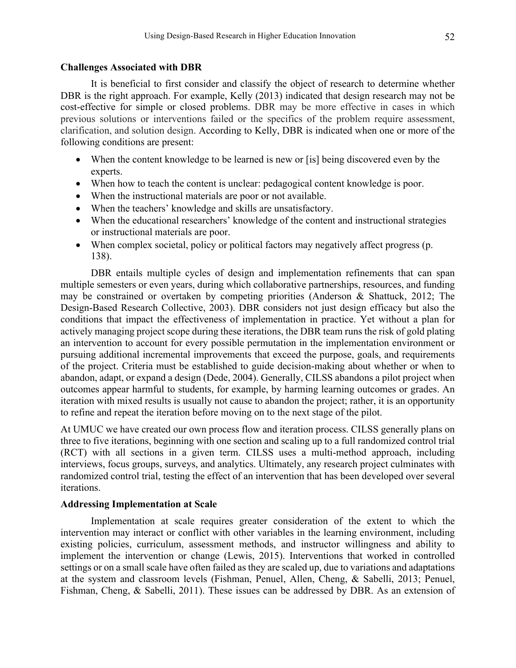### **Challenges Associated with DBR**

It is beneficial to first consider and classify the object of research to determine whether DBR is the right approach. For example, Kelly (2013) indicated that design research may not be cost-effective for simple or closed problems. DBR may be more effective in cases in which previous solutions or interventions failed or the specifics of the problem require assessment, clarification, and solution design. According to Kelly, DBR is indicated when one or more of the following conditions are present:

- When the content knowledge to be learned is new or [is] being discovered even by the experts.
- When how to teach the content is unclear: pedagogical content knowledge is poor.
- When the instructional materials are poor or not available.
- When the teachers' knowledge and skills are unsatisfactory.
- When the educational researchers' knowledge of the content and instructional strategies or instructional materials are poor.
- When complex societal, policy or political factors may negatively affect progress (p. 138).

DBR entails multiple cycles of design and implementation refinements that can span multiple semesters or even years, during which collaborative partnerships, resources, and funding may be constrained or overtaken by competing priorities (Anderson & Shattuck, 2012; The Design-Based Research Collective, 2003). DBR considers not just design efficacy but also the conditions that impact the effectiveness of implementation in practice. Yet without a plan for actively managing project scope during these iterations, the DBR team runs the risk of gold plating an intervention to account for every possible permutation in the implementation environment or pursuing additional incremental improvements that exceed the purpose, goals, and requirements of the project. Criteria must be established to guide decision-making about whether or when to abandon, adapt, or expand a design (Dede, 2004). Generally, CILSS abandons a pilot project when outcomes appear harmful to students, for example, by harming learning outcomes or grades. An iteration with mixed results is usually not cause to abandon the project; rather, it is an opportunity to refine and repeat the iteration before moving on to the next stage of the pilot.

At UMUC we have created our own process flow and iteration process. CILSS generally plans on three to five iterations, beginning with one section and scaling up to a full randomized control trial (RCT) with all sections in a given term. CILSS uses a multi-method approach, including interviews, focus groups, surveys, and analytics. Ultimately, any research project culminates with randomized control trial, testing the effect of an intervention that has been developed over several iterations.

## **Addressing Implementation at Scale**

Implementation at scale requires greater consideration of the extent to which the intervention may interact or conflict with other variables in the learning environment, including existing policies, curriculum, assessment methods, and instructor willingness and ability to implement the intervention or change (Lewis, 2015). Interventions that worked in controlled settings or on a small scale have often failed as they are scaled up, due to variations and adaptations at the system and classroom levels (Fishman, Penuel, Allen, Cheng, & Sabelli, 2013; Penuel, Fishman, Cheng, & Sabelli, 2011). These issues can be addressed by DBR. As an extension of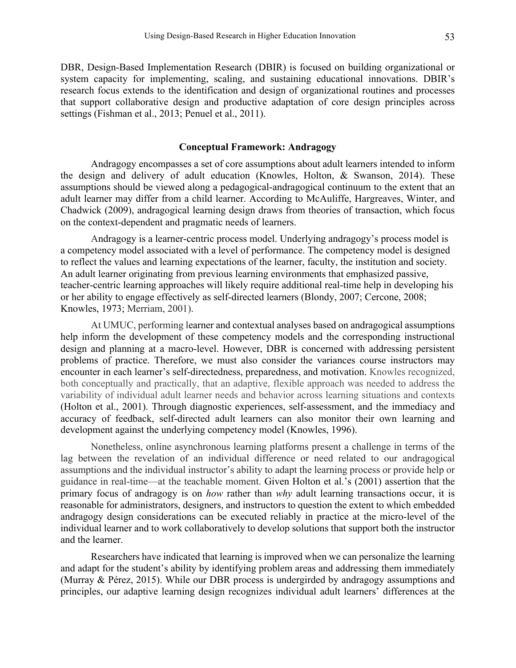DBR, Design-Based Implementation Research (DBIR) is focused on building organizational or system capacity for implementing, scaling, and sustaining educational innovations. DBIR's research focus extends to the identification and design of organizational routines and processes that support collaborative design and productive adaptation of core design principles across settings (Fishman et al., 2013; Penuel et al., 2011).

#### **Conceptual Framework: Andragogy**

Andragogy encompasses a set of core assumptions about adult learners intended to inform the design and delivery of adult education (Knowles, Holton, & Swanson, 2014). These assumptions should be viewed along a pedagogical-andragogical continuum to the extent that an adult learner may differ from a child learner. According to McAuliffe, Hargreaves, Winter, and Chadwick (2009), andragogical learning design draws from theories of transaction, which focus on the context-dependent and pragmatic needs of learners.

Andragogy is a learner-centric process model. Underlying andragogy's process model is a competency model associated with a level of performance. The competency model is designed to reflect the values and learning expectations of the learner, faculty, the institution and society. An adult learner originating from previous learning environments that emphasized passive, teacher-centric learning approaches will likely require additional real-time help in developing his or her ability to engage effectively as self-directed learners (Blondy, 2007; Cercone, 2008; Knowles, 1973; Merriam, 2001).

At UMUC, performing learner and contextual analyses based on andragogical assumptions help inform the development of these competency models and the corresponding instructional design and planning at a macro-level. However, DBR is concerned with addressing persistent problems of practice. Therefore, we must also consider the variances course instructors may encounter in each learner's self-directedness, preparedness, and motivation. Knowles recognized, both conceptually and practically, that an adaptive, flexible approach was needed to address the variability of individual adult learner needs and behavior across learning situations and contexts (Holton et al., 2001). Through diagnostic experiences, self-assessment, and the immediacy and accuracy of feedback, self-directed adult learners can also monitor their own learning and development against the underlying competency model (Knowles, 1996).

Nonetheless, online asynchronous learning platforms present a challenge in terms of the lag between the revelation of an individual difference or need related to our andragogical assumptions and the individual instructor's ability to adapt the learning process or provide help or guidance in real-time—at the teachable moment. Given Holton et al.'s (2001) assertion that the primary focus of andragogy is on *how* rather than *why* adult learning transactions occur, it is reasonable for administrators, designers, and instructors to question the extent to which embedded andragogy design considerations can be executed reliably in practice at the micro-level of the individual learner and to work collaboratively to develop solutions that support both the instructor and the learner.

Researchers have indicated that learning is improved when we can personalize the learning and adapt for the student's ability by identifying problem areas and addressing them immediately (Murray & Pérez, 2015). While our DBR process is undergirded by andragogy assumptions and principles, our adaptive learning design recognizes individual adult learners' differences at the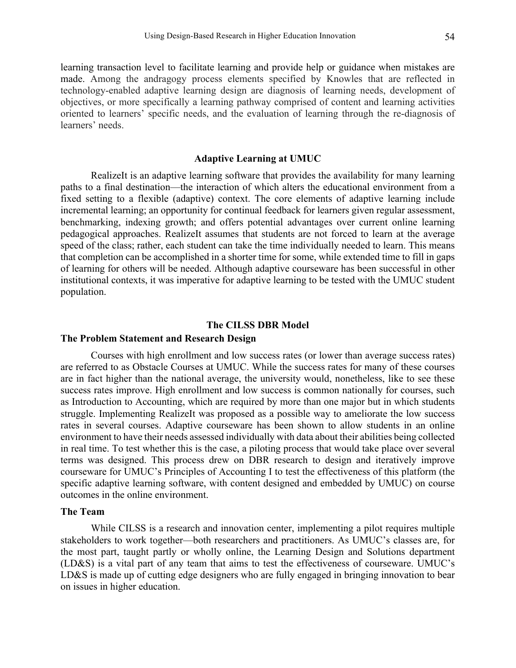learning transaction level to facilitate learning and provide help or guidance when mistakes are made. Among the andragogy process elements specified by Knowles that are reflected in technology-enabled adaptive learning design are diagnosis of learning needs, development of objectives, or more specifically a learning pathway comprised of content and learning activities oriented to learners' specific needs, and the evaluation of learning through the re-diagnosis of learners' needs.

#### **Adaptive Learning at UMUC**

RealizeIt is an adaptive learning software that provides the availability for many learning paths to a final destination—the interaction of which alters the educational environment from a fixed setting to a flexible (adaptive) context. The core elements of adaptive learning include incremental learning; an opportunity for continual feedback for learners given regular assessment, benchmarking, indexing growth; and offers potential advantages over current online learning pedagogical approaches. RealizeIt assumes that students are not forced to learn at the average speed of the class; rather, each student can take the time individually needed to learn. This means that completion can be accomplished in a shorter time for some, while extended time to fill in gaps of learning for others will be needed. Although adaptive courseware has been successful in other institutional contexts, it was imperative for adaptive learning to be tested with the UMUC student population.

#### **The CILSS DBR Model**

## **The Problem Statement and Research Design**

Courses with high enrollment and low success rates (or lower than average success rates) are referred to as Obstacle Courses at UMUC. While the success rates for many of these courses are in fact higher than the national average, the university would, nonetheless, like to see these success rates improve. High enrollment and low success is common nationally for courses, such as Introduction to Accounting, which are required by more than one major but in which students struggle. Implementing RealizeIt was proposed as a possible way to ameliorate the low success rates in several courses. Adaptive courseware has been shown to allow students in an online environment to have their needs assessed individually with data about their abilities being collected in real time. To test whether this is the case, a piloting process that would take place over several terms was designed. This process drew on DBR research to design and iteratively improve courseware for UMUC's Principles of Accounting I to test the effectiveness of this platform (the specific adaptive learning software, with content designed and embedded by UMUC) on course outcomes in the online environment.

#### **The Team**

While CILSS is a research and innovation center, implementing a pilot requires multiple stakeholders to work together—both researchers and practitioners. As UMUC's classes are, for the most part, taught partly or wholly online, the Learning Design and Solutions department (LD&S) is a vital part of any team that aims to test the effectiveness of courseware. UMUC's LD&S is made up of cutting edge designers who are fully engaged in bringing innovation to bear on issues in higher education.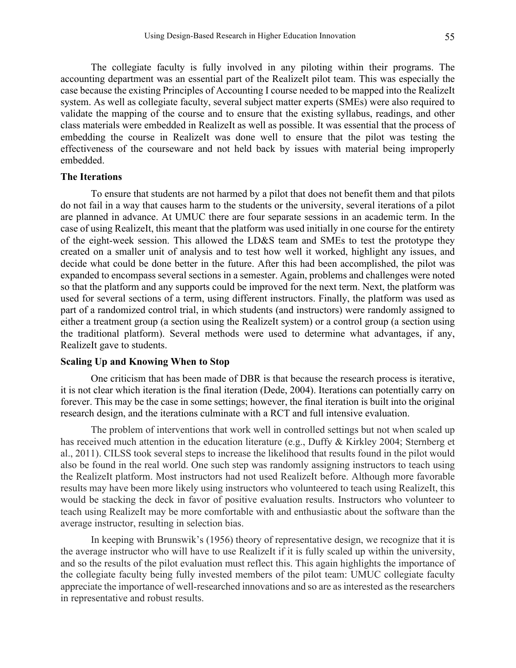The collegiate faculty is fully involved in any piloting within their programs. The accounting department was an essential part of the RealizeIt pilot team. This was especially the case because the existing Principles of Accounting I course needed to be mapped into the RealizeIt system. As well as collegiate faculty, several subject matter experts (SMEs) were also required to validate the mapping of the course and to ensure that the existing syllabus, readings, and other class materials were embedded in RealizeIt as well as possible. It was essential that the process of embedding the course in RealizeIt was done well to ensure that the pilot was testing the effectiveness of the courseware and not held back by issues with material being improperly embedded.

# **The Iterations**

To ensure that students are not harmed by a pilot that does not benefit them and that pilots do not fail in a way that causes harm to the students or the university, several iterations of a pilot are planned in advance. At UMUC there are four separate sessions in an academic term. In the case of using RealizeIt, this meant that the platform was used initially in one course for the entirety of the eight-week session. This allowed the LD&S team and SMEs to test the prototype they created on a smaller unit of analysis and to test how well it worked, highlight any issues, and decide what could be done better in the future. After this had been accomplished, the pilot was expanded to encompass several sections in a semester. Again, problems and challenges were noted so that the platform and any supports could be improved for the next term. Next, the platform was used for several sections of a term, using different instructors. Finally, the platform was used as part of a randomized control trial, in which students (and instructors) were randomly assigned to either a treatment group (a section using the RealizeIt system) or a control group (a section using the traditional platform). Several methods were used to determine what advantages, if any, RealizeIt gave to students.

# **Scaling Up and Knowing When to Stop**

One criticism that has been made of DBR is that because the research process is iterative, it is not clear which iteration is the final iteration (Dede, 2004). Iterations can potentially carry on forever. This may be the case in some settings; however, the final iteration is built into the original research design, and the iterations culminate with a RCT and full intensive evaluation.

The problem of interventions that work well in controlled settings but not when scaled up has received much attention in the education literature (e.g., Duffy & Kirkley 2004; Sternberg et al., 2011). CILSS took several steps to increase the likelihood that results found in the pilot would also be found in the real world. One such step was randomly assigning instructors to teach using the RealizeIt platform. Most instructors had not used RealizeIt before. Although more favorable results may have been more likely using instructors who volunteered to teach using RealizeIt, this would be stacking the deck in favor of positive evaluation results. Instructors who volunteer to teach using RealizeIt may be more comfortable with and enthusiastic about the software than the average instructor, resulting in selection bias.

In keeping with Brunswik's (1956) theory of representative design, we recognize that it is the average instructor who will have to use RealizeIt if it is fully scaled up within the university, and so the results of the pilot evaluation must reflect this. This again highlights the importance of the collegiate faculty being fully invested members of the pilot team: UMUC collegiate faculty appreciate the importance of well-researched innovations and so are as interested as the researchers in representative and robust results.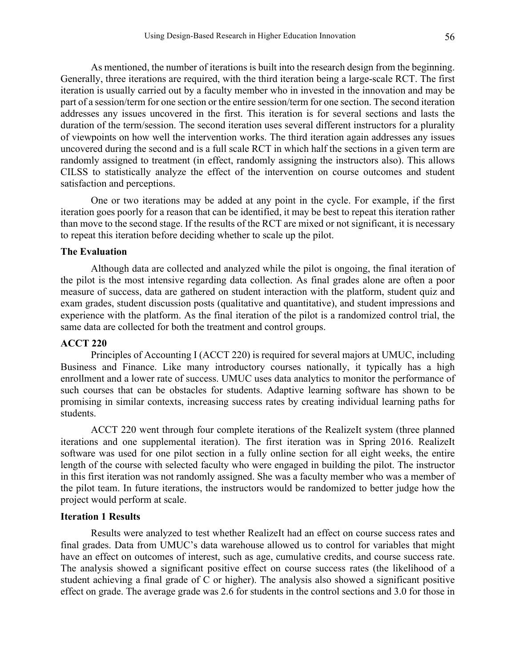As mentioned, the number of iterations is built into the research design from the beginning. Generally, three iterations are required, with the third iteration being a large-scale RCT. The first iteration is usually carried out by a faculty member who in invested in the innovation and may be part of a session/term for one section or the entire session/term for one section. The second iteration addresses any issues uncovered in the first. This iteration is for several sections and lasts the duration of the term/session. The second iteration uses several different instructors for a plurality of viewpoints on how well the intervention works. The third iteration again addresses any issues uncovered during the second and is a full scale RCT in which half the sections in a given term are randomly assigned to treatment (in effect, randomly assigning the instructors also). This allows CILSS to statistically analyze the effect of the intervention on course outcomes and student satisfaction and perceptions.

One or two iterations may be added at any point in the cycle. For example, if the first iteration goes poorly for a reason that can be identified, it may be best to repeat this iteration rather than move to the second stage. If the results of the RCT are mixed or not significant, it is necessary to repeat this iteration before deciding whether to scale up the pilot.

## **The Evaluation**

Although data are collected and analyzed while the pilot is ongoing, the final iteration of the pilot is the most intensive regarding data collection. As final grades alone are often a poor measure of success, data are gathered on student interaction with the platform, student quiz and exam grades, student discussion posts (qualitative and quantitative), and student impressions and experience with the platform. As the final iteration of the pilot is a randomized control trial, the same data are collected for both the treatment and control groups.

# **ACCT 220**

Principles of Accounting I (ACCT 220) is required for several majors at UMUC, including Business and Finance. Like many introductory courses nationally, it typically has a high enrollment and a lower rate of success. UMUC uses data analytics to monitor the performance of such courses that can be obstacles for students. Adaptive learning software has shown to be promising in similar contexts, increasing success rates by creating individual learning paths for students.

ACCT 220 went through four complete iterations of the RealizeIt system (three planned iterations and one supplemental iteration). The first iteration was in Spring 2016. RealizeIt software was used for one pilot section in a fully online section for all eight weeks, the entire length of the course with selected faculty who were engaged in building the pilot. The instructor in this first iteration was not randomly assigned. She was a faculty member who was a member of the pilot team. In future iterations, the instructors would be randomized to better judge how the project would perform at scale.

## **Iteration 1 Results**

Results were analyzed to test whether RealizeIt had an effect on course success rates and final grades. Data from UMUC's data warehouse allowed us to control for variables that might have an effect on outcomes of interest, such as age, cumulative credits, and course success rate. The analysis showed a significant positive effect on course success rates (the likelihood of a student achieving a final grade of C or higher). The analysis also showed a significant positive effect on grade. The average grade was 2.6 for students in the control sections and 3.0 for those in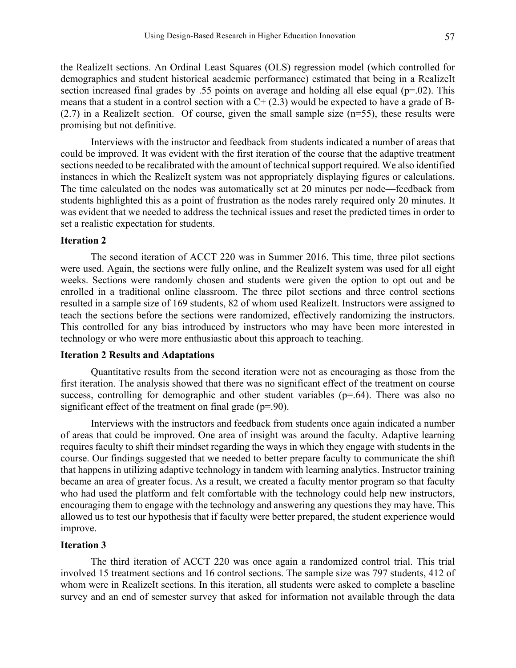the RealizeIt sections. An Ordinal Least Squares (OLS) regression model (which controlled for demographics and student historical academic performance) estimated that being in a RealizeIt section increased final grades by .55 points on average and holding all else equal ( $p=0.02$ ). This means that a student in a control section with a  $C+(2.3)$  would be expected to have a grade of B-(2.7) in a RealizeIt section. Of course, given the small sample size (n=55), these results were promising but not definitive.

Interviews with the instructor and feedback from students indicated a number of areas that could be improved. It was evident with the first iteration of the course that the adaptive treatment sections needed to be recalibrated with the amount of technical support required. We also identified instances in which the RealizeIt system was not appropriately displaying figures or calculations. The time calculated on the nodes was automatically set at 20 minutes per node—feedback from students highlighted this as a point of frustration as the nodes rarely required only 20 minutes. It was evident that we needed to address the technical issues and reset the predicted times in order to set a realistic expectation for students.

# **Iteration 2**

The second iteration of ACCT 220 was in Summer 2016. This time, three pilot sections were used. Again, the sections were fully online, and the RealizeIt system was used for all eight weeks. Sections were randomly chosen and students were given the option to opt out and be enrolled in a traditional online classroom. The three pilot sections and three control sections resulted in a sample size of 169 students, 82 of whom used RealizeIt. Instructors were assigned to teach the sections before the sections were randomized, effectively randomizing the instructors. This controlled for any bias introduced by instructors who may have been more interested in technology or who were more enthusiastic about this approach to teaching.

# **Iteration 2 Results and Adaptations**

Quantitative results from the second iteration were not as encouraging as those from the first iteration. The analysis showed that there was no significant effect of the treatment on course success, controlling for demographic and other student variables  $(p=0.64)$ . There was also no significant effect of the treatment on final grade (p=.90).

Interviews with the instructors and feedback from students once again indicated a number of areas that could be improved. One area of insight was around the faculty. Adaptive learning requires faculty to shift their mindset regarding the ways in which they engage with students in the course. Our findings suggested that we needed to better prepare faculty to communicate the shift that happens in utilizing adaptive technology in tandem with learning analytics. Instructor training became an area of greater focus. As a result, we created a faculty mentor program so that faculty who had used the platform and felt comfortable with the technology could help new instructors, encouraging them to engage with the technology and answering any questions they may have. This allowed us to test our hypothesis that if faculty were better prepared, the student experience would improve.

# **Iteration 3**

The third iteration of ACCT 220 was once again a randomized control trial. This trial involved 15 treatment sections and 16 control sections. The sample size was 797 students, 412 of whom were in RealizeIt sections. In this iteration, all students were asked to complete a baseline survey and an end of semester survey that asked for information not available through the data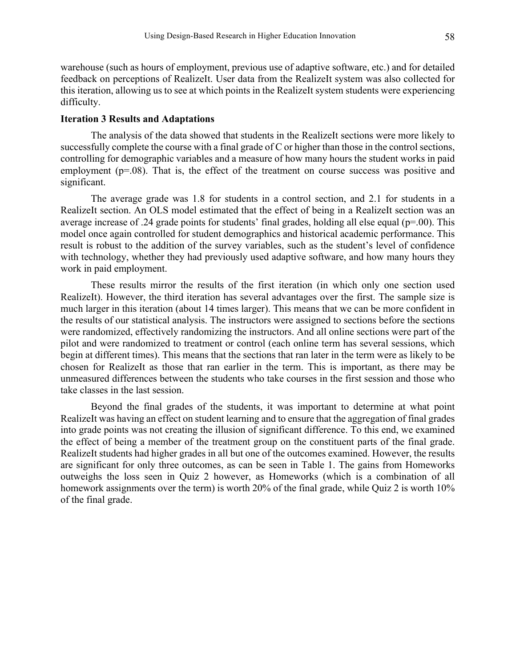warehouse (such as hours of employment, previous use of adaptive software, etc.) and for detailed feedback on perceptions of RealizeIt. User data from the RealizeIt system was also collected for this iteration, allowing us to see at which points in the RealizeIt system students were experiencing difficulty.

### **Iteration 3 Results and Adaptations**

The analysis of the data showed that students in the RealizeIt sections were more likely to successfully complete the course with a final grade of C or higher than those in the control sections, controlling for demographic variables and a measure of how many hours the student works in paid employment (p=.08). That is, the effect of the treatment on course success was positive and significant.

The average grade was 1.8 for students in a control section, and 2.1 for students in a RealizeIt section. An OLS model estimated that the effect of being in a RealizeIt section was an average increase of .24 grade points for students' final grades, holding all else equal (p=.00). This model once again controlled for student demographics and historical academic performance. This result is robust to the addition of the survey variables, such as the student's level of confidence with technology, whether they had previously used adaptive software, and how many hours they work in paid employment.

These results mirror the results of the first iteration (in which only one section used RealizeIt). However, the third iteration has several advantages over the first. The sample size is much larger in this iteration (about 14 times larger). This means that we can be more confident in the results of our statistical analysis. The instructors were assigned to sections before the sections were randomized, effectively randomizing the instructors. And all online sections were part of the pilot and were randomized to treatment or control (each online term has several sessions, which begin at different times). This means that the sections that ran later in the term were as likely to be chosen for RealizeIt as those that ran earlier in the term. This is important, as there may be unmeasured differences between the students who take courses in the first session and those who take classes in the last session.

Beyond the final grades of the students, it was important to determine at what point RealizeIt was having an effect on student learning and to ensure that the aggregation of final grades into grade points was not creating the illusion of significant difference. To this end, we examined the effect of being a member of the treatment group on the constituent parts of the final grade. RealizeIt students had higher grades in all but one of the outcomes examined. However, the results are significant for only three outcomes, as can be seen in Table 1. The gains from Homeworks outweighs the loss seen in Quiz 2 however, as Homeworks (which is a combination of all homework assignments over the term) is worth 20% of the final grade, while Quiz 2 is worth 10% of the final grade.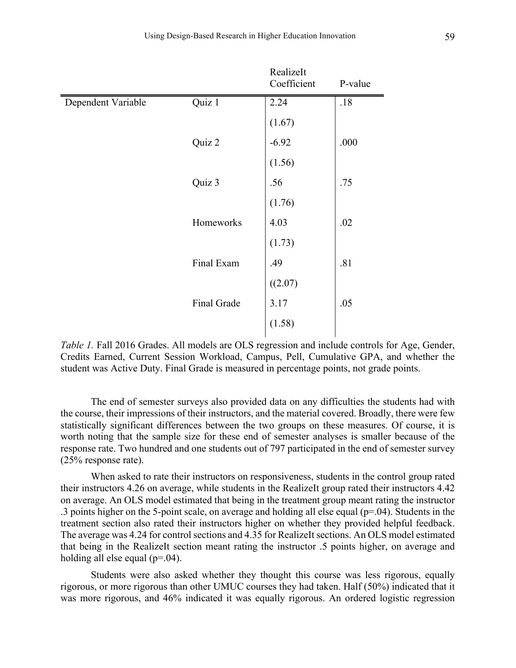|                    |             | RealizeIt<br>Coefficient | P-value |
|--------------------|-------------|--------------------------|---------|
| Dependent Variable | Quiz 1      | 2.24                     | .18     |
|                    |             | (1.67)                   |         |
|                    | Quiz 2      | $-6.92$                  | .000    |
|                    |             | (1.56)                   |         |
|                    | Quiz 3      | .56                      | .75     |
|                    |             | (1.76)                   |         |
|                    | Homeworks   | 4.03                     | .02     |
|                    |             | (1.73)                   |         |
|                    | Final Exam  | .49                      | .81     |
|                    |             | ((2.07)                  |         |
|                    | Final Grade | 3.17                     | .05     |
|                    |             | (1.58)                   |         |
|                    |             |                          |         |

*Table 1.* Fall 2016 Grades. All models are OLS regression and include controls for Age, Gender, Credits Earned, Current Session Workload, Campus, Pell, Cumulative GPA, and whether the student was Active Duty. Final Grade is measured in percentage points, not grade points.

The end of semester surveys also provided data on any difficulties the students had with the course, their impressions of their instructors, and the material covered. Broadly, there were few statistically significant differences between the two groups on these measures. Of course, it is worth noting that the sample size for these end of semester analyses is smaller because of the response rate. Two hundred and one students out of 797 participated in the end of semester survey (25% response rate).

When asked to rate their instructors on responsiveness, students in the control group rated their instructors 4.26 on average, while students in the RealizeIt group rated their instructors 4.42 on average. An OLS model estimated that being in the treatment group meant rating the instructor .3 points higher on the 5-point scale, on average and holding all else equal (p=.04). Students in the treatment section also rated their instructors higher on whether they provided helpful feedback. The average was 4.24 for control sections and 4.35 for RealizeIt sections. An OLS model estimated that being in the RealizeIt section meant rating the instructor .5 points higher, on average and holding all else equal (p=.04).

Students were also asked whether they thought this course was less rigorous, equally rigorous, or more rigorous than other UMUC courses they had taken. Half (50%) indicated that it was more rigorous, and 46% indicated it was equally rigorous. An ordered logistic regression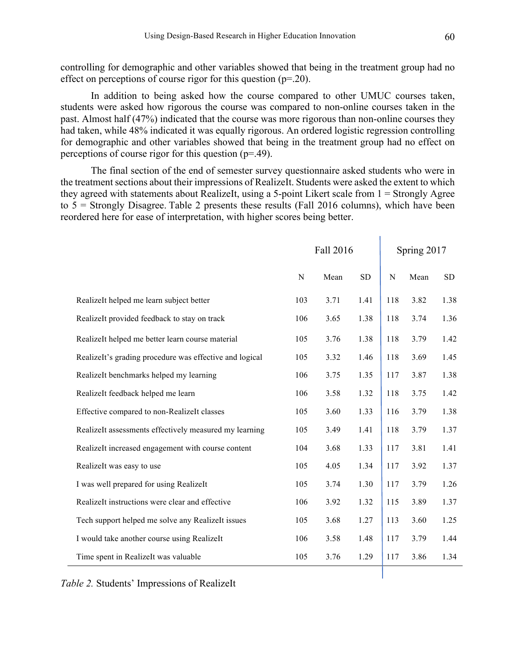controlling for demographic and other variables showed that being in the treatment group had no effect on perceptions of course rigor for this question (p=.20).

In addition to being asked how the course compared to other UMUC courses taken, students were asked how rigorous the course was compared to non-online courses taken in the past. Almost half (47%) indicated that the course was more rigorous than non-online courses they had taken, while 48% indicated it was equally rigorous. An ordered logistic regression controlling for demographic and other variables showed that being in the treatment group had no effect on perceptions of course rigor for this question (p=.49).

The final section of the end of semester survey questionnaire asked students who were in the treatment sections about their impressions of RealizeIt. Students were asked the extent to which they agreed with statements about RealizeIt, using a 5-point Likert scale from 1 = Strongly Agree to  $5 =$  Strongly Disagree. Table 2 presents these results (Fall 2016 columns), which have been reordered here for ease of interpretation, with higher scores being better.

|                                                         | Fall 2016   |      | Spring 2017 |           |      |      |
|---------------------------------------------------------|-------------|------|-------------|-----------|------|------|
|                                                         | $\mathbf N$ | Mean | <b>SD</b>   | ${\bf N}$ | Mean | SD   |
| RealizeIt helped me learn subject better                | 103         | 3.71 | 1.41        | 118       | 3.82 | 1.38 |
| RealizeIt provided feedback to stay on track            | 106         | 3.65 | 1.38        | 118       | 3.74 | 1.36 |
| RealizeIt helped me better learn course material        | 105         | 3.76 | 1.38        | 118       | 3.79 | 1.42 |
| RealizeIt's grading procedure was effective and logical | 105         | 3.32 | 1.46        | 118       | 3.69 | 1.45 |
| RealizeIt benchmarks helped my learning                 | 106         | 3.75 | 1.35        | 117       | 3.87 | 1.38 |
| RealizeIt feedback helped me learn                      | 106         | 3.58 | 1.32        | 118       | 3.75 | 1.42 |
| Effective compared to non-RealizeIt classes             | 105         | 3.60 | 1.33        | 116       | 3.79 | 1.38 |
| RealizeIt assessments effectively measured my learning  | 105         | 3.49 | 1.41        | 118       | 3.79 | 1.37 |
| RealizeIt increased engagement with course content      | 104         | 3.68 | 1.33        | 117       | 3.81 | 1.41 |
| RealizeIt was easy to use                               | 105         | 4.05 | 1.34        | 117       | 3.92 | 1.37 |
| I was well prepared for using RealizeIt                 | 105         | 3.74 | 1.30        | 117       | 3.79 | 1.26 |
| RealizeIt instructions were clear and effective         | 106         | 3.92 | 1.32        | 115       | 3.89 | 1.37 |
| Tech support helped me solve any RealizeIt issues       | 105         | 3.68 | 1.27        | 113       | 3.60 | 1.25 |
| I would take another course using RealizeIt             | 106         | 3.58 | 1.48        | 117       | 3.79 | 1.44 |
| Time spent in RealizeIt was valuable                    | 105         | 3.76 | 1.29        | 117       | 3.86 | 1.34 |

*Table 2.* Students' Impressions of RealizeIt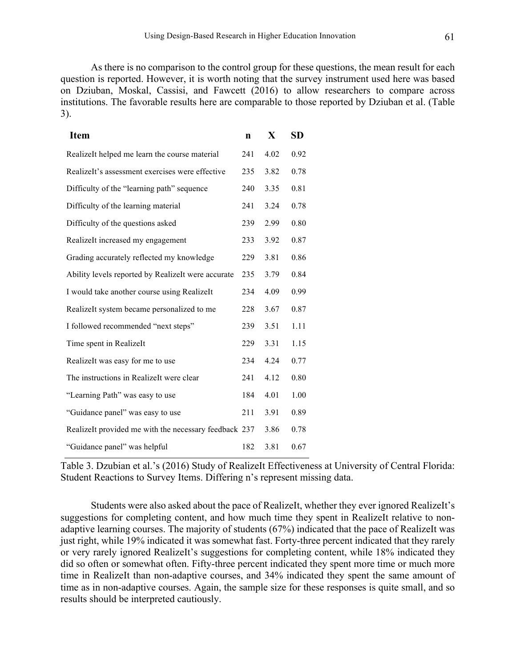As there is no comparison to the control group for these questions, the mean result for each question is reported. However, it is worth noting that the survey instrument used here was based on Dziuban, Moskal, Cassisi, and Fawcett (2016) to allow researchers to compare across institutions. The favorable results here are comparable to those reported by Dziuban et al. (Table 3).

| <b>Item</b>                                           | $\mathbf n$ | X    | <b>SD</b> |
|-------------------------------------------------------|-------------|------|-----------|
| RealizeIt helped me learn the course material         | 241         | 4.02 | 0.92      |
| RealizeIt's assessment exercises were effective       | 235         | 3.82 | 0.78      |
| Difficulty of the "learning path" sequence            | 240         | 3.35 | 0.81      |
| Difficulty of the learning material                   | 241         | 3.24 | 0.78      |
| Difficulty of the questions asked                     | 239         | 2.99 | 0.80      |
| RealizeIt increased my engagement                     | 233         | 3.92 | 0.87      |
| Grading accurately reflected my knowledge             | 229         | 3.81 | 0.86      |
| Ability levels reported by RealizeIt were accurate    | 235         | 3.79 | 0.84      |
| I would take another course using RealizeIt           | 234         | 4.09 | 0.99      |
| RealizeIt system became personalized to me            | 228         | 3.67 | 0.87      |
| I followed recommended "next steps"                   | 239         | 3.51 | 1.11      |
| Time spent in RealizeIt                               | 229         | 3.31 | 1.15      |
| RealizeIt was easy for me to use                      | 234         | 4.24 | 0.77      |
| The instructions in RealizeIt were clear              | 241         | 4.12 | 0.80      |
| "Learning Path" was easy to use                       | 184         | 4.01 | 1.00      |
| "Guidance panel" was easy to use                      | 211         | 3.91 | 0.89      |
| RealizeIt provided me with the necessary feedback 237 |             | 3.86 | 0.78      |
| "Guidance panel" was helpful                          | 182         | 3.81 | 0.67      |

Table 3. Dzubian et al.'s (2016) Study of RealizeIt Effectiveness at University of Central Florida: Student Reactions to Survey Items. Differing n's represent missing data.

Students were also asked about the pace of RealizeIt, whether they ever ignored RealizeIt's suggestions for completing content, and how much time they spent in RealizeIt relative to nonadaptive learning courses. The majority of students (67%) indicated that the pace of RealizeIt was just right, while 19% indicated it was somewhat fast. Forty-three percent indicated that they rarely or very rarely ignored RealizeIt's suggestions for completing content, while 18% indicated they did so often or somewhat often. Fifty-three percent indicated they spent more time or much more time in RealizeIt than non-adaptive courses, and 34% indicated they spent the same amount of time as in non-adaptive courses. Again, the sample size for these responses is quite small, and so results should be interpreted cautiously.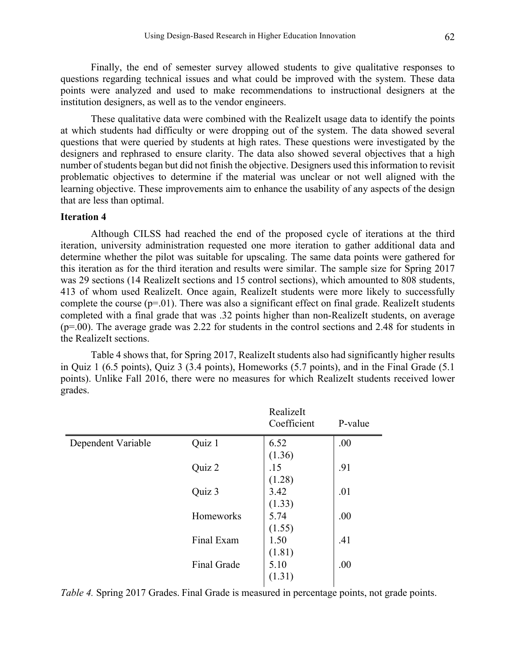Finally, the end of semester survey allowed students to give qualitative responses to questions regarding technical issues and what could be improved with the system. These data points were analyzed and used to make recommendations to instructional designers at the institution designers, as well as to the vendor engineers.

These qualitative data were combined with the RealizeIt usage data to identify the points at which students had difficulty or were dropping out of the system. The data showed several questions that were queried by students at high rates. These questions were investigated by the designers and rephrased to ensure clarity. The data also showed several objectives that a high number of students began but did not finish the objective. Designers used this information to revisit problematic objectives to determine if the material was unclear or not well aligned with the learning objective. These improvements aim to enhance the usability of any aspects of the design that are less than optimal.

#### **Iteration 4**

Although CILSS had reached the end of the proposed cycle of iterations at the third iteration, university administration requested one more iteration to gather additional data and determine whether the pilot was suitable for upscaling. The same data points were gathered for this iteration as for the third iteration and results were similar. The sample size for Spring 2017 was 29 sections (14 RealizeIt sections and 15 control sections), which amounted to 808 students, 413 of whom used RealizeIt. Once again, RealizeIt students were more likely to successfully complete the course  $(p=01)$ . There was also a significant effect on final grade. RealizeIt students completed with a final grade that was .32 points higher than non-RealizeIt students, on average (p=.00). The average grade was 2.22 for students in the control sections and 2.48 for students in the RealizeIt sections.

Table 4 shows that, for Spring 2017, RealizeIt students also had significantly higher results in Quiz 1 (6.5 points), Quiz 3 (3.4 points), Homeworks (5.7 points), and in the Final Grade (5.1 points). Unlike Fall 2016, there were no measures for which RealizeIt students received lower grades.

|                    |             | RealizeIt<br>Coefficient | P-value |
|--------------------|-------------|--------------------------|---------|
| Dependent Variable | Quiz 1      | 6.52                     | .00     |
|                    |             | (1.36)                   |         |
|                    | Quiz 2      | .15                      | .91     |
|                    |             | (1.28)                   |         |
|                    | Quiz 3      | 3.42                     | .01     |
|                    |             | (1.33)                   |         |
|                    | Homeworks   | 5.74                     | .00     |
|                    |             | (1.55)                   |         |
|                    | Final Exam  | 1.50                     | .41     |
|                    |             | (1.81)                   |         |
|                    | Final Grade | 5.10                     | .00     |
|                    |             | (1.31)                   |         |
|                    |             |                          |         |

*Table 4.* Spring 2017 Grades. Final Grade is measured in percentage points, not grade points.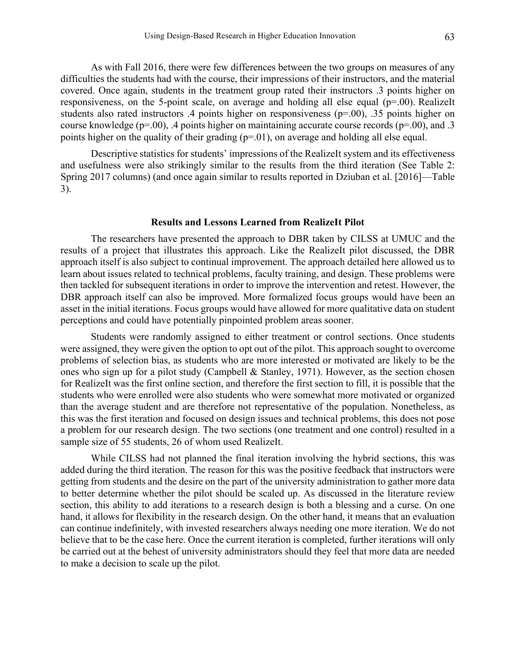As with Fall 2016, there were few differences between the two groups on measures of any difficulties the students had with the course, their impressions of their instructors, and the material covered. Once again, students in the treatment group rated their instructors .3 points higher on responsiveness, on the 5-point scale, on average and holding all else equal (p=.00). RealizeIt students also rated instructors .4 points higher on responsiveness (p=.00), .35 points higher on course knowledge ( $p=0.00$ ), .4 points higher on maintaining accurate course records ( $p=0.00$ ), and .3 points higher on the quality of their grading (p=.01), on average and holding all else equal.

Descriptive statistics for students' impressions of the RealizeIt system and its effectiveness and usefulness were also strikingly similar to the results from the third iteration (See Table 2: Spring 2017 columns) (and once again similar to results reported in Dziuban et al. [2016]—Table 3).

# **Results and Lessons Learned from RealizeIt Pilot**

The researchers have presented the approach to DBR taken by CILSS at UMUC and the results of a project that illustrates this approach. Like the RealizeIt pilot discussed, the DBR approach itself is also subject to continual improvement. The approach detailed here allowed us to learn about issues related to technical problems, faculty training, and design. These problems were then tackled for subsequent iterations in order to improve the intervention and retest. However, the DBR approach itself can also be improved. More formalized focus groups would have been an asset in the initial iterations. Focus groups would have allowed for more qualitative data on student perceptions and could have potentially pinpointed problem areas sooner.

Students were randomly assigned to either treatment or control sections. Once students were assigned, they were given the option to opt out of the pilot. This approach sought to overcome problems of selection bias, as students who are more interested or motivated are likely to be the ones who sign up for a pilot study (Campbell & Stanley, 1971). However, as the section chosen for RealizeIt was the first online section, and therefore the first section to fill, it is possible that the students who were enrolled were also students who were somewhat more motivated or organized than the average student and are therefore not representative of the population. Nonetheless, as this was the first iteration and focused on design issues and technical problems, this does not pose a problem for our research design. The two sections (one treatment and one control) resulted in a sample size of 55 students, 26 of whom used RealizeIt.

While CILSS had not planned the final iteration involving the hybrid sections, this was added during the third iteration. The reason for this was the positive feedback that instructors were getting from students and the desire on the part of the university administration to gather more data to better determine whether the pilot should be scaled up. As discussed in the literature review section, this ability to add iterations to a research design is both a blessing and a curse. On one hand, it allows for flexibility in the research design. On the other hand, it means that an evaluation can continue indefinitely, with invested researchers always needing one more iteration. We do not believe that to be the case here. Once the current iteration is completed, further iterations will only be carried out at the behest of university administrators should they feel that more data are needed to make a decision to scale up the pilot.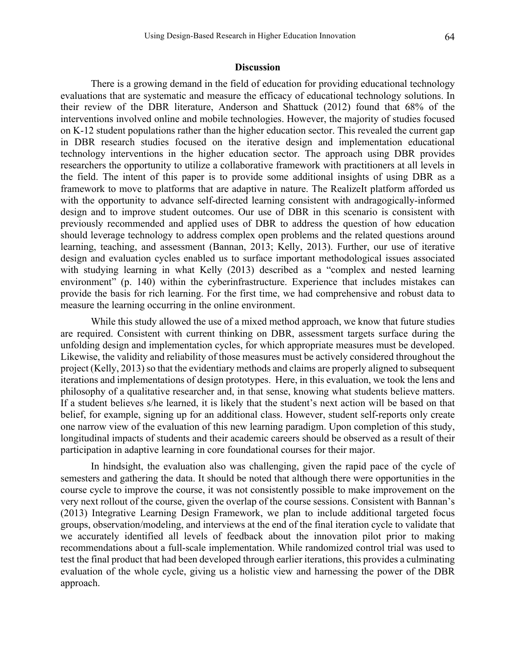#### **Discussion**

There is a growing demand in the field of education for providing educational technology evaluations that are systematic and measure the efficacy of educational technology solutions. In their review of the DBR literature, Anderson and Shattuck (2012) found that 68% of the interventions involved online and mobile technologies. However, the majority of studies focused on K-12 student populations rather than the higher education sector. This revealed the current gap in DBR research studies focused on the iterative design and implementation educational technology interventions in the higher education sector. The approach using DBR provides researchers the opportunity to utilize a collaborative framework with practitioners at all levels in the field. The intent of this paper is to provide some additional insights of using DBR as a framework to move to platforms that are adaptive in nature. The RealizeIt platform afforded us with the opportunity to advance self-directed learning consistent with andragogically-informed design and to improve student outcomes. Our use of DBR in this scenario is consistent with previously recommended and applied uses of DBR to address the question of how education should leverage technology to address complex open problems and the related questions around learning, teaching, and assessment (Bannan, 2013; Kelly, 2013). Further, our use of iterative design and evaluation cycles enabled us to surface important methodological issues associated with studying learning in what Kelly (2013) described as a "complex and nested learning environment" (p. 140) within the cyberinfrastructure. Experience that includes mistakes can provide the basis for rich learning. For the first time, we had comprehensive and robust data to measure the learning occurring in the online environment.

While this study allowed the use of a mixed method approach, we know that future studies are required. Consistent with current thinking on DBR, assessment targets surface during the unfolding design and implementation cycles, for which appropriate measures must be developed. Likewise, the validity and reliability of those measures must be actively considered throughout the project (Kelly, 2013) so that the evidentiary methods and claims are properly aligned to subsequent iterations and implementations of design prototypes. Here, in this evaluation, we took the lens and philosophy of a qualitative researcher and, in that sense, knowing what students believe matters. If a student believes s/he learned, it is likely that the student's next action will be based on that belief, for example, signing up for an additional class. However, student self-reports only create one narrow view of the evaluation of this new learning paradigm. Upon completion of this study, longitudinal impacts of students and their academic careers should be observed as a result of their participation in adaptive learning in core foundational courses for their major.

In hindsight, the evaluation also was challenging, given the rapid pace of the cycle of semesters and gathering the data. It should be noted that although there were opportunities in the course cycle to improve the course, it was not consistently possible to make improvement on the very next rollout of the course, given the overlap of the course sessions. Consistent with Bannan's (2013) Integrative Learning Design Framework, we plan to include additional targeted focus groups, observation/modeling, and interviews at the end of the final iteration cycle to validate that we accurately identified all levels of feedback about the innovation pilot prior to making recommendations about a full-scale implementation. While randomized control trial was used to test the final product that had been developed through earlier iterations, this provides a culminating evaluation of the whole cycle, giving us a holistic view and harnessing the power of the DBR approach.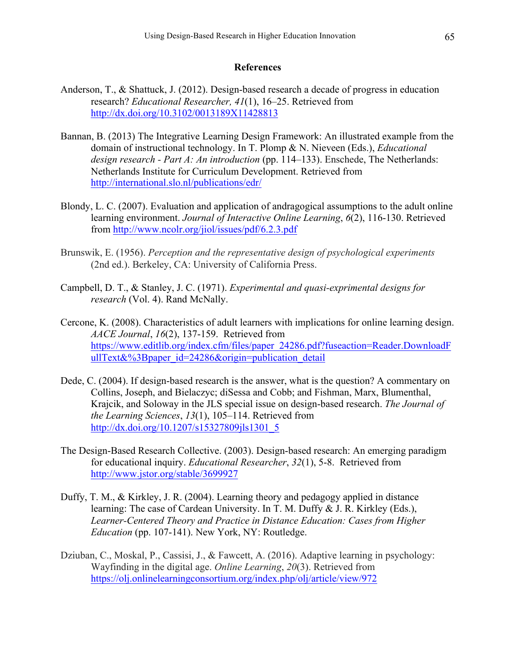## **References**

- Anderson, T., & Shattuck, J. (2012). Design-based research a decade of progress in education research? *Educational Researcher, 41*(1), 16–25. Retrieved from http://dx.doi.org/10.3102/0013189X11428813
- Bannan, B. (2013) The Integrative Learning Design Framework: An illustrated example from the domain of instructional technology. In T. Plomp & N. Nieveen (Eds.), *Educational design research - Part A: An introduction* (pp. 114–133). Enschede, The Netherlands: Netherlands Institute for Curriculum Development. Retrieved from http://international.slo.nl/publications/edr/
- Blondy, L. C. (2007). Evaluation and application of andragogical assumptions to the adult online learning environment. *Journal of Interactive Online Learning*, *6*(2), 116-130. Retrieved from http://www.ncolr.org/jiol/issues/pdf/6.2.3.pdf
- Brunswik, E. (1956). *Perception and the representative design of psychological experiments*  (2nd ed.). Berkeley, CA: University of California Press.
- Campbell, D. T., & Stanley, J. C. (1971). *Experimental and quasi-exprimental designs for research* (Vol. 4). Rand McNally.
- Cercone, K. (2008). Characteristics of adult learners with implications for online learning design. *AACE Journal*, *16*(2), 137-159. Retrieved from https://www.editlib.org/index.cfm/files/paper\_24286.pdf?fuseaction=Reader.DownloadF ullText&%3Bpaper\_id=24286&origin=publication\_detail
- Dede, C. (2004). If design-based research is the answer, what is the question? A commentary on Collins, Joseph, and Bielaczyc; diSessa and Cobb; and Fishman, Marx, Blumenthal, Krajcik, and Soloway in the JLS special issue on design-based research. *The Journal of the Learning Sciences*, *13*(1), 105–114. Retrieved from http://dx.doi.org/10.1207/s15327809jls1301\_5
- The Design-Based Research Collective. (2003). Design-based research: An emerging paradigm for educational inquiry. *Educational Researcher*, *32*(1), 5-8. Retrieved from http://www.jstor.org/stable/3699927
- Duffy, T. M., & Kirkley, J. R. (2004). Learning theory and pedagogy applied in distance learning: The case of Cardean University. In T. M. Duffy & J. R. Kirkley (Eds.), *Learner-Centered Theory and Practice in Distance Education: Cases from Higher Education* (pp. 107-141). New York, NY: Routledge.
- Dziuban, C., Moskal, P., Cassisi, J., & Fawcett, A. (2016). Adaptive learning in psychology: Wayfinding in the digital age. *Online Learning*, *20*(3). Retrieved from https://olj.onlinelearningconsortium.org/index.php/olj/article/view/972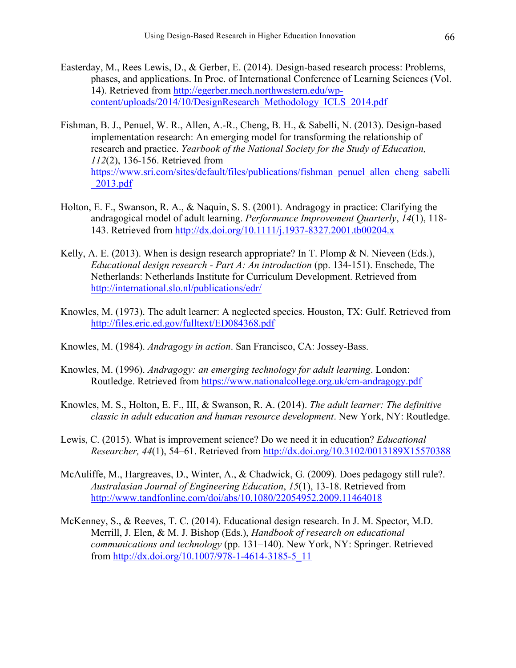- Easterday, M., Rees Lewis, D., & Gerber, E. (2014). Design-based research process: Problems, phases, and applications. In Proc. of International Conference of Learning Sciences (Vol. 14). Retrieved from http://egerber.mech.northwestern.edu/wpcontent/uploads/2014/10/DesignResearch\_Methodology\_ICLS\_2014.pdf
- Fishman, B. J., Penuel, W. R., Allen, A.-R., Cheng, B. H., & Sabelli, N. (2013). Design-based implementation research: An emerging model for transforming the relationship of research and practice. *Yearbook of the National Society for the Study of Education, 112*(2), 136-156. Retrieved from https://www.sri.com/sites/default/files/publications/fishman\_penuel\_allen\_cheng\_sabelli \_2013.pdf
- Holton, E. F., Swanson, R. A., & Naquin, S. S. (2001). Andragogy in practice: Clarifying the andragogical model of adult learning. *Performance Improvement Quarterly*, *14*(1), 118- 143. Retrieved from http://dx.doi.org/10.1111/j.1937-8327.2001.tb00204.x
- Kelly, A. E. (2013). When is design research appropriate? In T. Plomp & N. Nieveen (Eds.), *Educational design research - Part A: An introduction* (pp. 134-151). Enschede, The Netherlands: Netherlands Institute for Curriculum Development. Retrieved from http://international.slo.nl/publications/edr/
- Knowles, M. (1973). The adult learner: A neglected species. Houston, TX: Gulf. Retrieved from http://files.eric.ed.gov/fulltext/ED084368.pdf
- Knowles, M. (1984). *Andragogy in action*. San Francisco, CA: Jossey-Bass.
- Knowles, M. (1996). *Andragogy: an emerging technology for adult learning*. London: Routledge. Retrieved from https://www.nationalcollege.org.uk/cm-andragogy.pdf
- Knowles, M. S., Holton, E. F., III, & Swanson, R. A. (2014). *The adult learner: The definitive classic in adult education and human resource development*. New York, NY: Routledge.
- Lewis, C. (2015). What is improvement science? Do we need it in education? *Educational Researcher, 44*(1), 54–61. Retrieved from http://dx.doi.org/10.3102/0013189X15570388
- McAuliffe, M., Hargreaves, D., Winter, A., & Chadwick, G. (2009). Does pedagogy still rule?. *Australasian Journal of Engineering Education*, *15*(1), 13-18. Retrieved from http://www.tandfonline.com/doi/abs/10.1080/22054952.2009.11464018
- McKenney, S., & Reeves, T. C. (2014). Educational design research. In J. M. Spector, M.D. Merrill, J. Elen, & M. J. Bishop (Eds.), *Handbook of research on educational communications and technology* (pp. 131–140). New York, NY: Springer. Retrieved from http://dx.doi.org/10.1007/978-1-4614-3185-5\_11